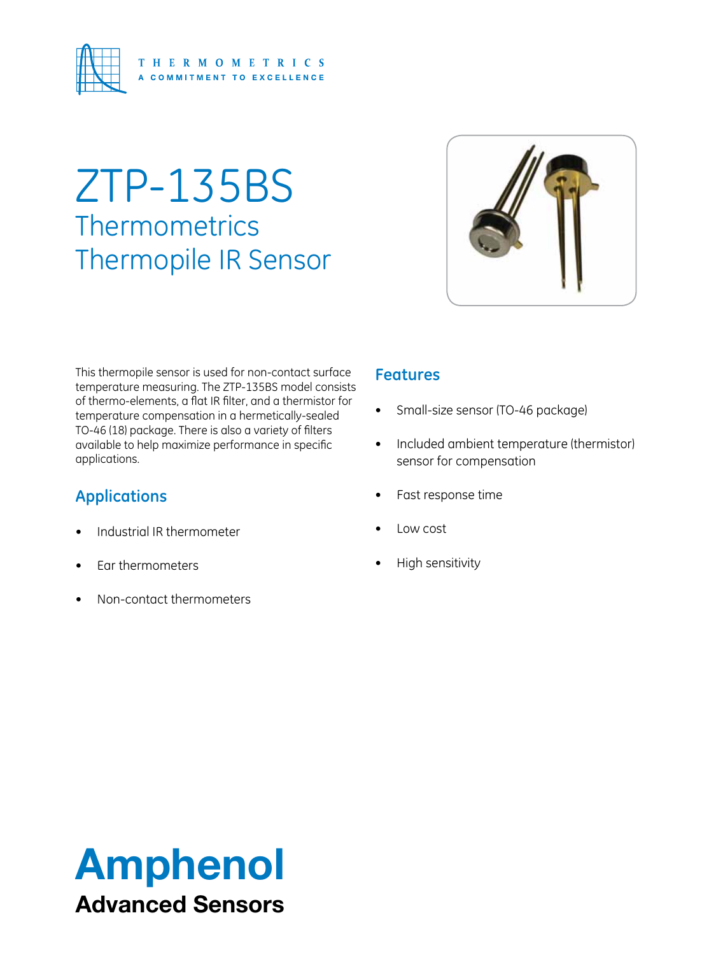

# ZTP-135BS **Thermometrics** Thermopile IR Sensor



This thermopile sensor is used for non-contact surface temperature measuring. The ZTP-135BS model consists of thermo-elements, a flat IR filter, and a thermistor for temperature compensation in a hermetically-sealed TO-46 (18) package. There is also a variety of filters available to help maximize performance in specific applications.

### **Applications**

- Industrial IR thermometer
- Ear thermometers
- Non-contact thermometers

### **Features**

- Small-size sensor (TO-46 package)
- • Included ambient temperature (thermistor) sensor for compensation
- Fast response time
- • Low cost
- **High sensitivity**

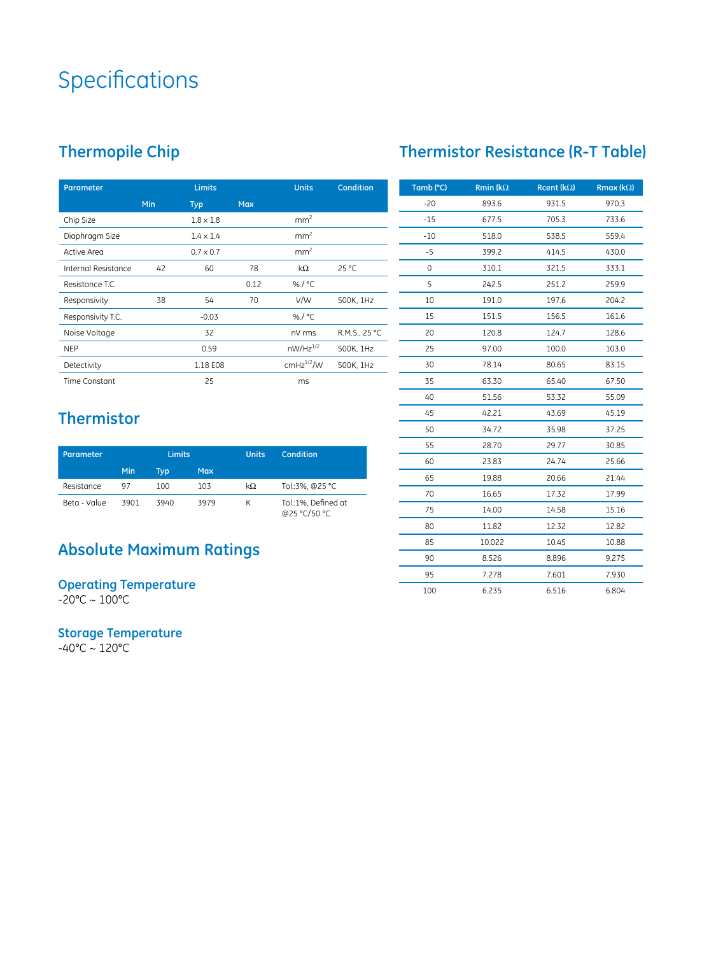## **Specifications**

### **Thermopile Chip**

| <b>Parameter</b>    | <b>Limits</b> |                  |            | <b>Units</b>    | <b>Condition</b> |
|---------------------|---------------|------------------|------------|-----------------|------------------|
|                     | <b>Min</b>    | <b>Typ</b>       | <b>Max</b> |                 |                  |
| Chip Size           |               | $1.8 \times 1.8$ |            | mm <sup>2</sup> |                  |
| Diaphragm Size      |               | $1.4 \times 1.4$ |            | mm <sup>2</sup> |                  |
| Active Area         |               | $0.7 \times 0.7$ |            | mm <sup>2</sup> |                  |
| Internal Resistance | 42            | 60               | 78         | kΩ              | $25^{\circ}$ C   |
| Resistance T.C.     |               |                  | 0.12       | %/°C            |                  |
| Responsivity        | 38            | 54               | 70         | V/W             | 500K, 1Hz        |
| Responsivity T.C.   |               | $-0.03$          |            | %/°C            |                  |
| Noise Voltage       |               | 32               |            | nV rms          | R.M.S., 25 °C    |
| <b>NEP</b>          |               | 0.59             |            | $nW/Hz^{1/2}$   | 500K, 1Hz        |
| Detectivity         |               | 1.18 E08         |            | $cmHz^{1/2}$ /W | 500K, 1Hz        |
| Time Constant       |               | 25               |            | ms              |                  |

# **Thermistor Resistance (R-T Table)**

| Tamb (°C) | <b>Rmin (k<math>\Omega</math></b> | Rcent ( $k\Omega$ ) | Rmax ( $k\Omega$ ) |
|-----------|-----------------------------------|---------------------|--------------------|
| $-20$     | 893.6                             | 931.5               | 970.3              |
| $-15$     | 677.5                             | 705.3               | 733.6              |
| $-10$     | 518.0                             | 538.5               | 559.4              |
| $-5$      | 399.2                             | 414.5               | 430.0              |
| 0         | 310.1                             | 321.5               | 333.1              |
| 5         | 242.5                             | 251.2               | 259.9              |
| 10        | 191.0                             | 197.6               | 204.2              |
| 15        | 151.5                             | 156.5               | 161.6              |
| 20        | 120.8                             | 124.7               | 128.6              |
| 25        | 97.00                             | 100.0               | 103.0              |
| 30        | 78.14                             | 80.65               | 83.15              |
| 35        | 63.30                             | 65.40               | 67.50              |
| 40        | 51.56                             | 53.32               | 55.09              |
| 45        | 42.21                             | 43.69               | 45.19              |
| 50        | 34.72                             | 35.98               | 37.25              |
| 55        | 28.70                             | 29.77               | 30.85              |
| 60        | 23.83                             | 24.74               | 25.66              |
| 65        | 19.88                             | 20.66               | 21.44              |
| 70        | 16.65                             | 17.32               | 17.99              |
| 75        | 14.00                             | 14.58               | 15.16              |
| 80        | 11.82                             | 12.32               | 12.82              |
| 85        | 10.022                            | 10.45               | 10.88              |
| 90        | 8.526                             | 8.896               | 9.275              |
| 95        | 7.278                             | 7.601               | 7.930              |
| 100       | 6.235                             | 6.516               | 6.804              |

### **Thermistor**

| Parameter    |      | <b>Limits</b> |      | <b>Units</b> | Condition                           |
|--------------|------|---------------|------|--------------|-------------------------------------|
|              | Min  | Tvp           | Max  |              |                                     |
| Resistance   | 97   | 100           | 103  | kΩ           | Tol.:3%, @25 °C                     |
| Beta - Value | 3901 | 3940          | 3979 | К            | Tol.:1%. Defined at<br>@25 °C/50 °C |

### **Absolute Maximum Ratings**

**Operating Temperature** -20°C ~ 100°C

**Storage Temperature**

-40°C ~ 120°C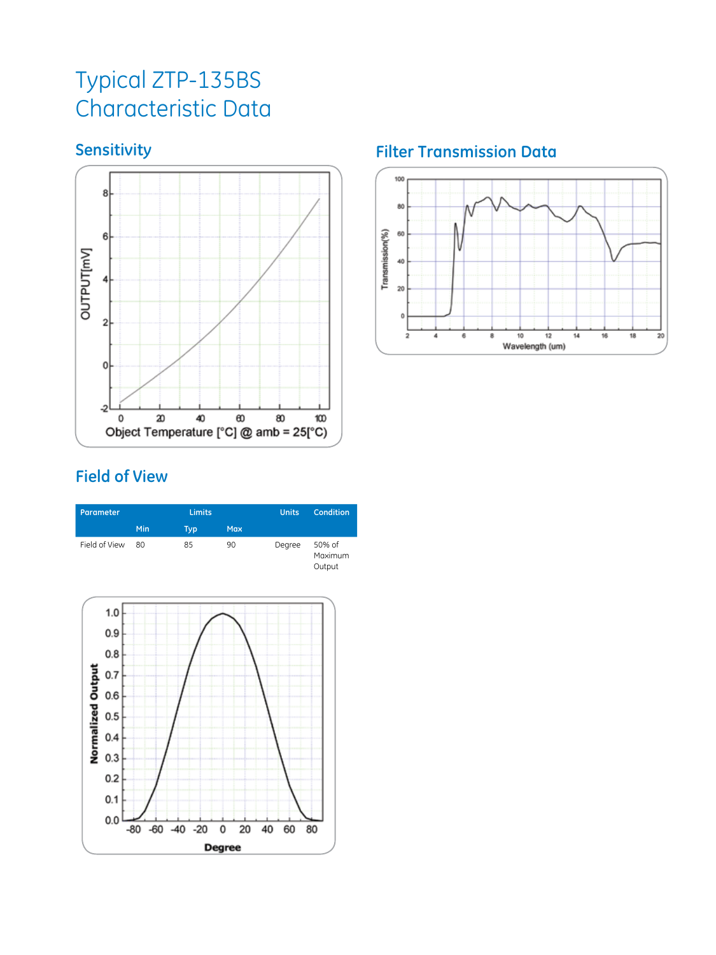### Typical ZTP-135BS Characteristic Data

### **Sensitivity**



### **Field of View**





### **Filter Transmission Data**